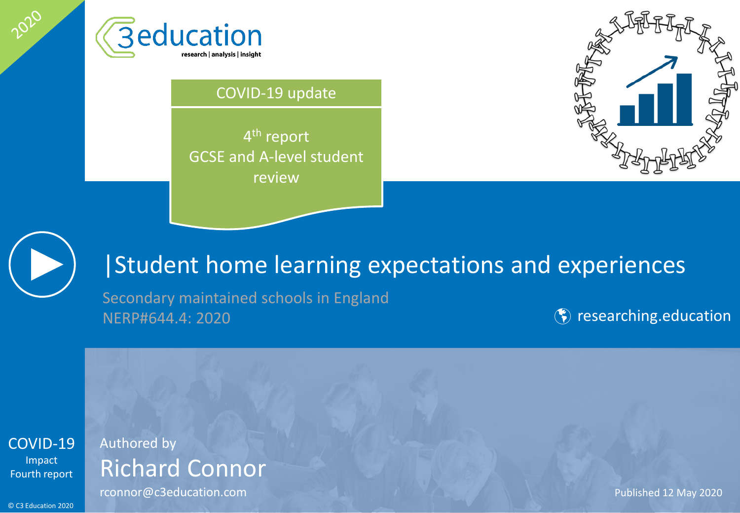

#### COVID-19 update

4th report GCSE and A-level student review





2020

## |Student home learning expectations and experiences

Secondary maintained schools in England NERP#644.4: 2020 **Contract in the Contract of Contract Contract Contract Contract Contract Contract Contract Contract Contract Contract Contract Contract Contract Contract Contract Contract Contract Contract Contract Contr** 



### Authored by Richard Connor

rconnor@c3education.com example and the connormal published 12 May 2020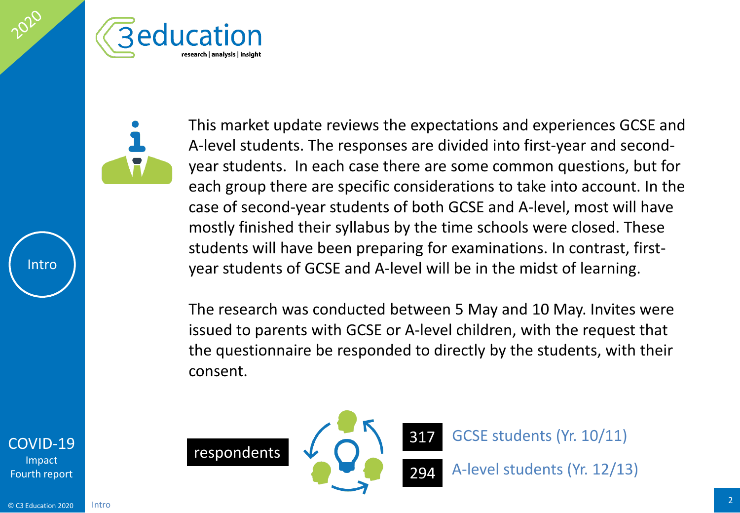

This market update reviews the expectations and experiences GCSE and A-level students. The responses are divided into first-year and secondyear students. In each case there are some common questions, but for each group there are specific considerations to take into account. In the case of second-year students of both GCSE and A-level, most will have mostly finished their syllabus by the time schools were closed. These students will have been preparing for examinations. In contrast, firstyear students of GCSE and A-level will be in the midst of learning.

The research was conducted between 5 May and 10 May. Invites were issued to parents with GCSE or A-level children, with the request that the questionnaire be responded to directly by the students, with their consent.





GCSE students (Yr. 10/11)

A-level students (Yr. 12/13)

#### [COVID-19](#page-2-0) Impact Fourth report

Intro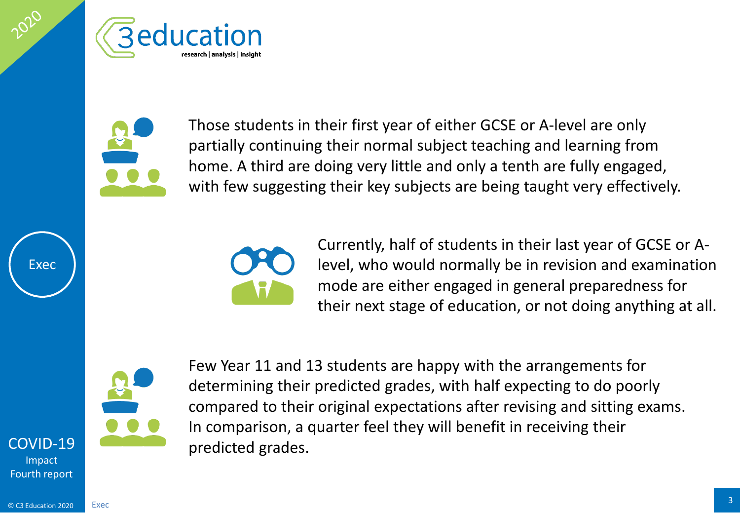<span id="page-2-0"></span>



Those students in their first year of either GCSE or A-level are only partially continuing their normal subject teaching and learning from home. A third are doing very little and only a tenth are fully engaged, with few suggesting their key subjects are being taught very effectively.



Currently, half of students in their last year of GCSE or Alevel, who would normally be in revision and examination mode are either engaged in general preparedness for their next stage of education, or not doing anything at all.



Few Year 11 and 13 students are happy with the arrangements for determining their predicted grades, with half expecting to do poorly compared to their original expectations after revising and sitting exams. In comparison, a quarter feel they will benefit in receiving their predicted grades.

### [COVID-19](#page-2-0)

Exec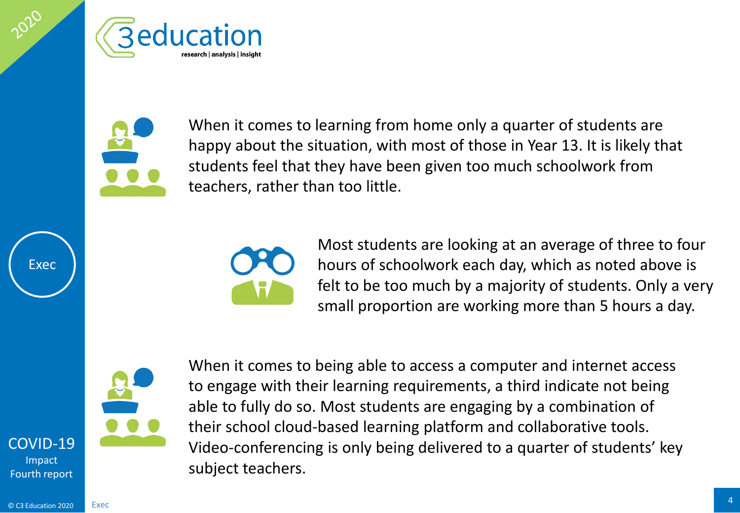



When it comes to learning from home only a quarter of students are happy about the situation, with most of those in Year 13. It is likely that students feel that they have been given too much schoolwork from teachers, rather than too little.



Most students are looking at an average of three to four hours of schoolwork each day, which as noted above is felt to be too much by a majority of students. Only a very small proportion are working more than 5 hours a day.



When it comes to being able to access a computer and internet access to engage with their learning requirements, a third indicate not being able to fully do so. Most students are engaging by a combination of their school cloud-based learning platform and collaborative tools. Video-conferencing is only being delivered to a quarter of students' key subject teachers.

### [COVID-19](#page-2-0)

Exec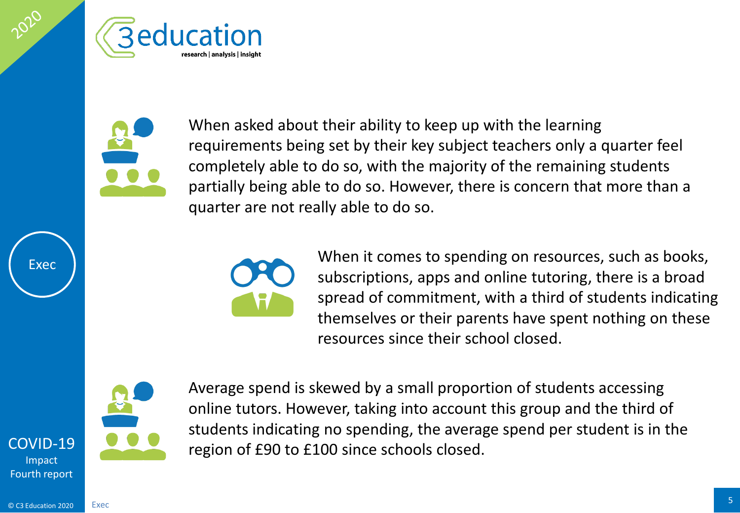



When asked about their ability to keep up with the learning requirements being set by their key subject teachers only a quarter feel completely able to do so, with the majority of the remaining students partially being able to do so. However, there is concern that more than a quarter are not really able to do so.



When it comes to spending on resources, such as books, subscriptions, apps and online tutoring, there is a broad spread of commitment, with a third of students indicating themselves or their parents have spent nothing on these resources since their school closed.



Exec

Average spend is skewed by a small proportion of students accessing online tutors. However, taking into account this group and the third of students indicating no spending, the average spend per student is in the region of £90 to £100 since schools closed.

[COVID-19](#page-2-0) Impact Fourth report

Exec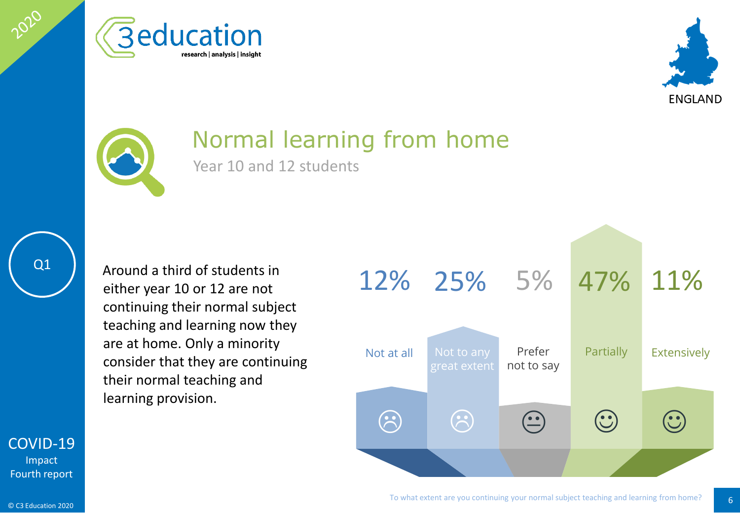





## Normal learning from home

Year 10 and 12 students

Q1

2020

Around a third of students in either year 10 or 12 are not continuing their normal subject teaching and learning now they are at home. Only a minority consider that they are continuing their normal teaching and learning provision.



#### [COVID-19](#page-2-0) Impact

Fourth report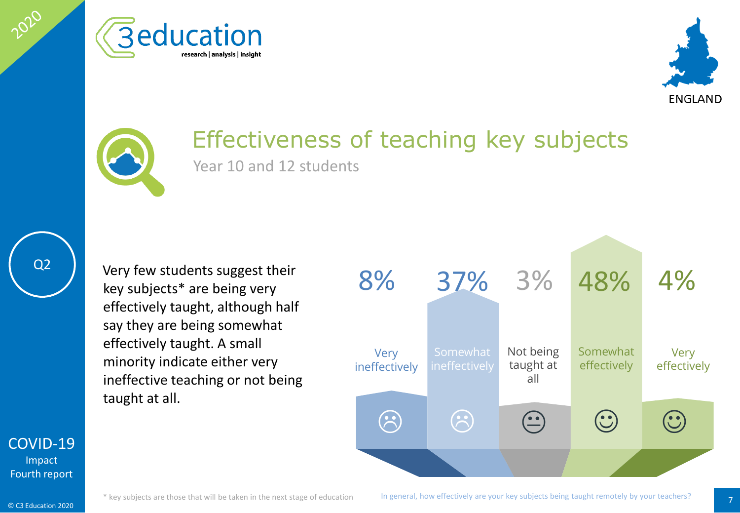





## Effectiveness of teaching key subjects

Year 10 and 12 students

Q2

2020

Very few students suggest their key subjects\* are being very effectively taught, although half say they are being somewhat effectively taught. A small minority indicate either very ineffective teaching or not being taught at all.



[COVID-19](#page-2-0)

Impact Fourth report

© C3 Education 2020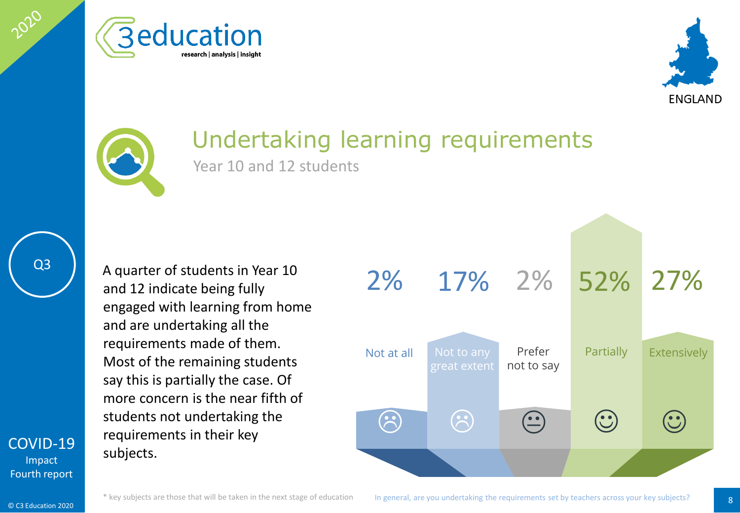





### Undertaking learning requirements

Year 10 and 12 students

Q3

[COVID-19](#page-2-0) Impact Fourth report

2020

A quarter of students in Year 10 and 12 indicate being fully engaged with learning from home and are undertaking all the requirements made of them. Most of the remaining students say this is partially the case. Of more concern is the near fifth of students not undertaking the requirements in their key subjects.

 $\begin{picture}(20,20) \put(0,0){\line(1,0){10}} \put(15,0){\line(1,0){10}} \put(15,0){\line(1,0){10}} \put(15,0){\line(1,0){10}} \put(15,0){\line(1,0){10}} \put(15,0){\line(1,0){10}} \put(15,0){\line(1,0){10}} \put(15,0){\line(1,0){10}} \put(15,0){\line(1,0){10}} \put(15,0){\line(1,0){10}} \put(15,0){\line(1,0){10}} \put(15,0){\line(1$ Not at all Not to any great extent Prefer Partially not to say 17% 2% 2% 52% 27%  $\left(\begin{matrix} \cdot \ \cdot \end{matrix}\right)$ Extensively  $\odot$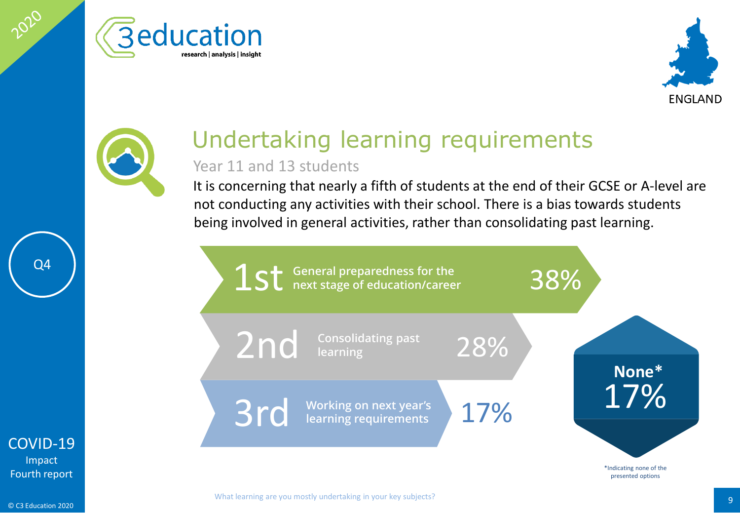





# Undertaking learning requirements

#### Year 11 and 13 students

It is concerning that nearly a fifth of students at the end of their GCSE or A-level are not conducting any activities with their school. There is a bias towards students being involved in general activities, rather than consolidating past learning.



Q4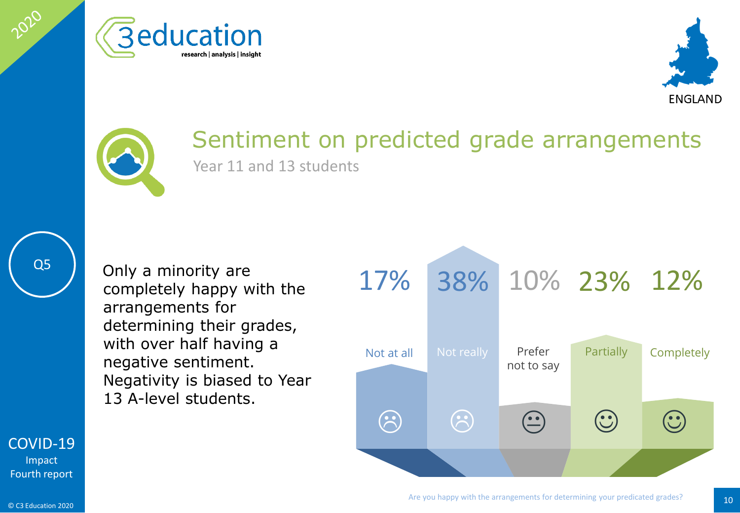





### Sentiment on predicted grade arrangements Year 11 and 13 students

Q5

2020

Only a minority are completely happy with the arrangements for determining their grades, with over half having a negative sentiment. Negativity is biased to Year 13 A-level students.



[COVID-19](#page-2-0)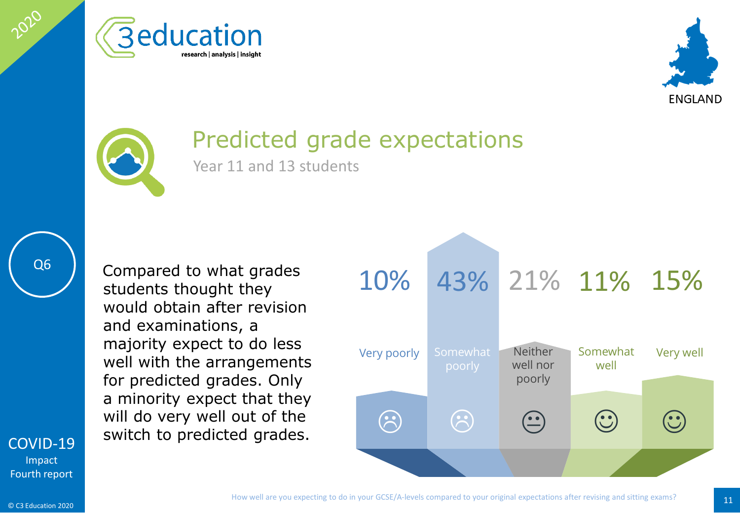





## Predicted grade expectations

Year 11 and 13 students

Q6

2020

[COVID-19](#page-2-0) and examinations, a majority expect to do less well with the arrangements for predicted grades. Only a minority expect that they will do very well out of the will do very well out of the and a control of the switch to predicted grades.

Compared to what grades

would obtain after revision

students thought they

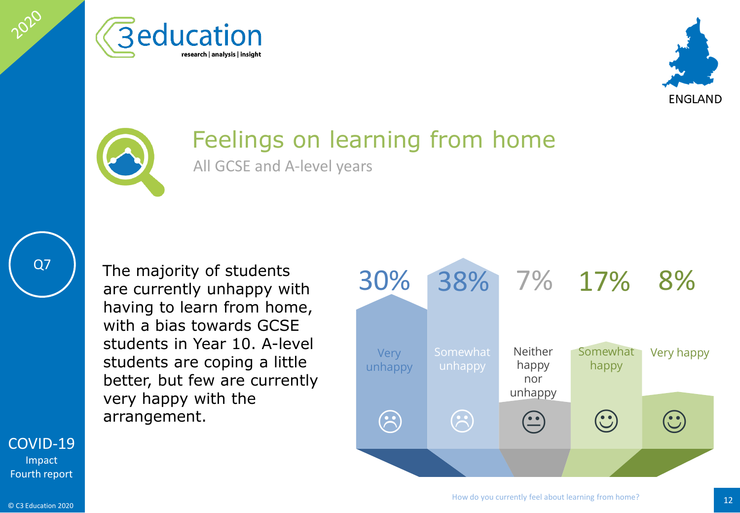





## Feelings on learning from home

All GCSE and A-level years

Q7

2020

[COVID-19](#page-2-0)

Impact Fourth report The majority of students are currently unhappy with having to learn from home, with a bias towards GCSE students in Year 10. A-level students are coping a little better, but few are currently very happy with the

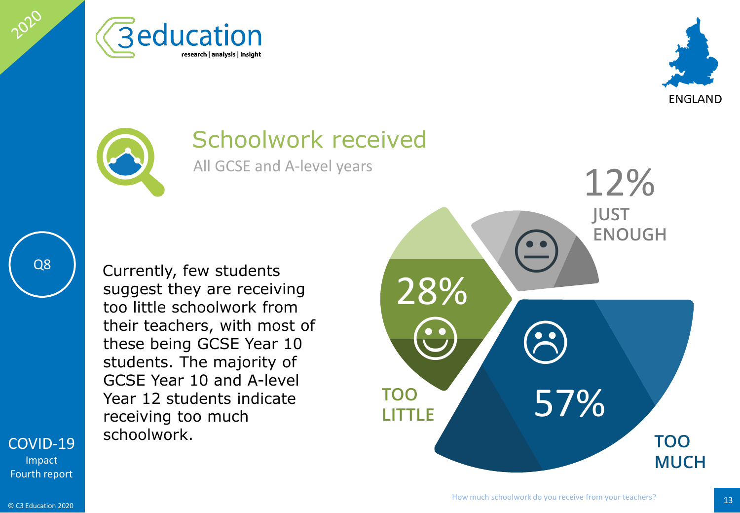





### Schoolwork received

All GCSE and A-level years

Q8

2020

Currently, few students suggest they are receiving too little schoolwork from their teachers, with most of these being GCSE Year 10 students. The majority of GCSE Year 10 and A-level Year 12 students indicate receiving too much schoolwork.



[COVID-19](#page-2-0) Impact Fourth report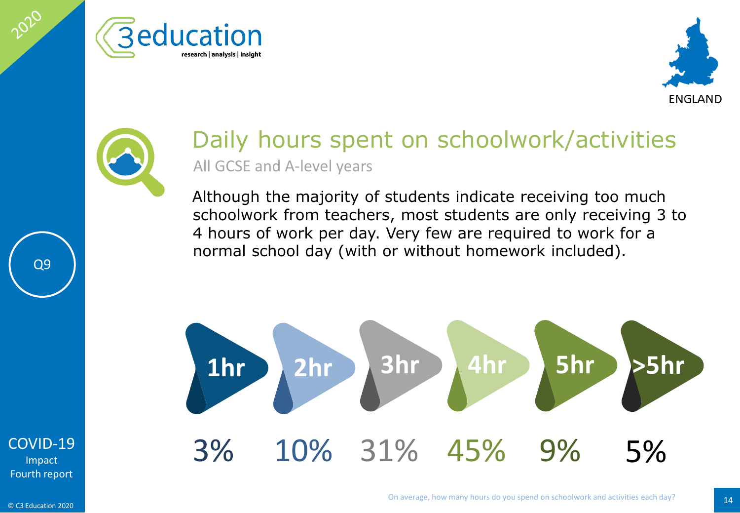





### Daily hours spent on schoolwork/activities All GCSE and A-level years

Although the majority of students indicate receiving too much schoolwork from teachers, most students are only receiving 3 to 4 hours of work per day. Very few are required to work for a normal school day (with or without homework included).



[COVID-19](#page-2-0) Impact Fourth report

Q9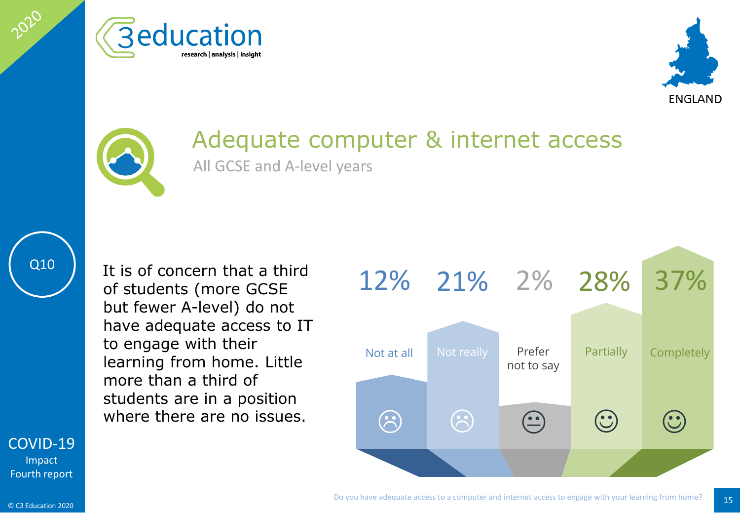





# Adequate computer & internet access

All GCSE and A-level years



2020

It is of concern that a third of students (more GCSE but fewer A-level) do not have adequate access to IT to engage with their learning from home. Little more than a third of students are in a position



#### [COVID-19](#page-2-0)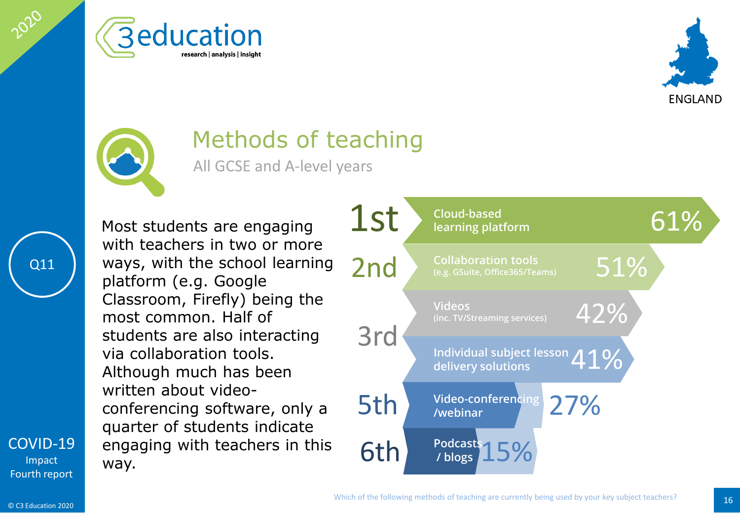





## Methods of teaching

All GCSE and A-level years

Most students are engaging with teachers in two or more ways, with the school learning platform (e.g. Google Classroom, Firefly) being the most common. Half of students are also interacting via collaboration tools. Although much has been written about videoconferencing software, only a quarter of students indicate engaging with teachers in this way.



[COVID-19](#page-2-0) Impact Fourth report

Q11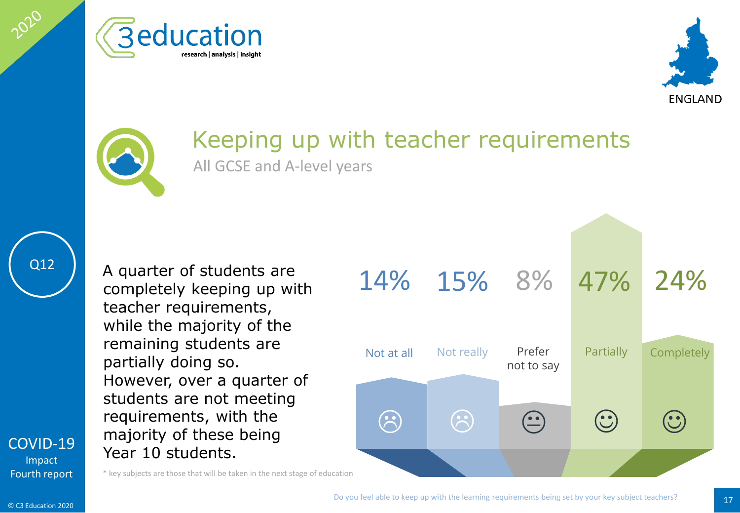





### Keeping up with teacher requirements All GCSE and A-level years

Q12

2020

completely keeping up with teacher requirements, while the majority of the remaining students are partially doing so. However, over a quarter of students are not meeting requirements, with the majority of these being Year 10 students.

A quarter of students are

\* key subjects are those that will be taken in the next stage of education



[COVID-19](#page-2-0) Impact Fourth report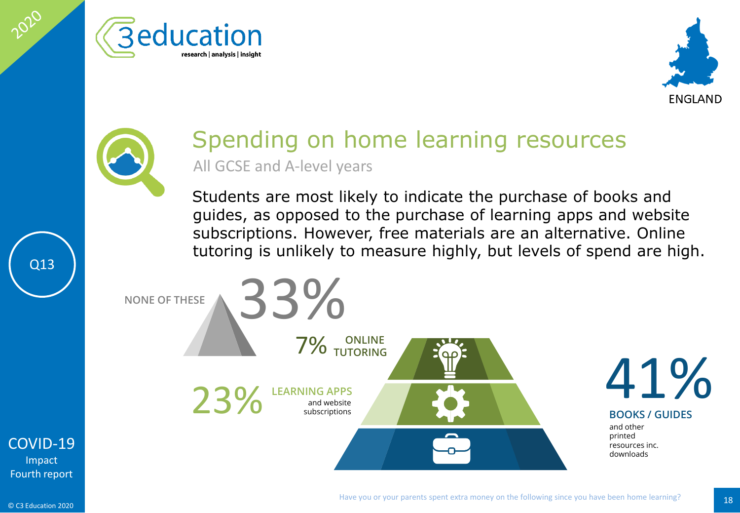





### Spending on home learning resources All GCSE and A-level years

Students are most likely to indicate the purchase of books and guides, as opposed to the purchase of learning apps and website subscriptions. However, free materials are an alternative. Online tutoring is unlikely to measure highly, but levels of spend are high.

**ONLINE 7% ONLINE** EARNING APPS<br>and website 23% subscriptions NONE OF THESE **33%** 



and other printed resources inc. downloads **BOOKS / GUIDES**

[COVID-19](#page-2-0) Impact Fourth report

Q13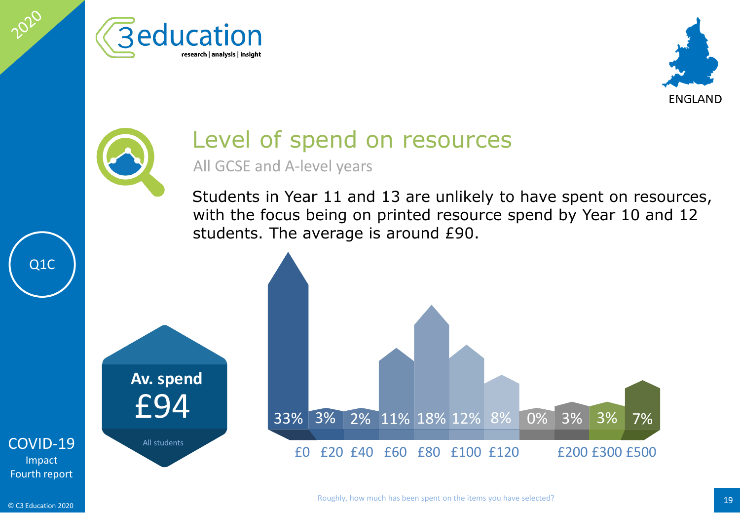





# Level of spend on resources

All GCSE and A-level years

Students in Year 11 and 13 are unlikely to have spent on resources, with the focus being on printed resource spend by Year 10 and 12 students. The average is around £90.



[COVID-19](#page-2-0) Impact Fourth report

Q1C

2020

© C3 Education 2020